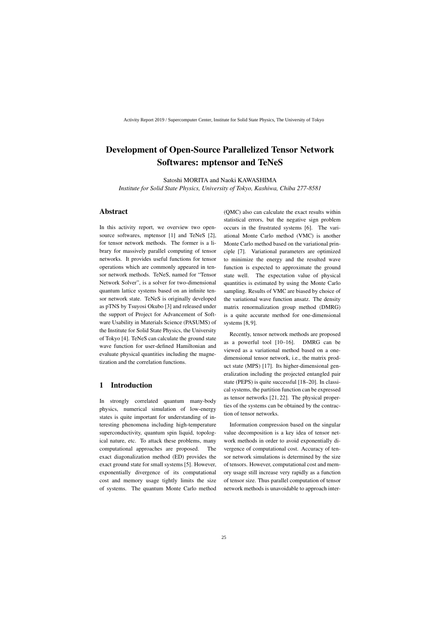# Development of Open-Source Parallelized Tensor Network Softwares: mptensor and TeNeS

Satoshi MORITA and Naoki KAWASHIMA *Institute for Solid State Physics, University of Tokyo, Kashiwa, Chiba 277-8581*

### Abstract

In this activity report, we overview two opensource softwares, mptensor [1] and TeNeS [2], for tensor network methods. The former is a library for massively parallel computing of tensor networks. It provides useful functions for tensor operations which are commonly appeared in tensor network methods. TeNeS, named for "Tensor Network Solver", is a solver for two-dimensional quantum lattice systems based on an infinite tensor network state. TeNeS is originally developed as pTNS by Tsuyosi Okubo [3] and released under the support of Project for Advancement of Software Usability in Materials Science (PASUMS) of the Institute for Solid State Physics, the University of Tokyo [4]. TeNeS can calculate the ground state wave function for user-defined Hamiltonian and evaluate physical quantities including the magnetization and the correlation functions.

### 1 Introduction

In strongly correlated quantum many-body physics, numerical simulation of low-energy states is quite important for understanding of interesting phenomena including high-temperature superconductivity, quantum spin liquid, topological nature, etc. To attack these problems, many computational approaches are proposed. The exact diagonalization method (ED) provides the exact ground state for small systems [5]. However, exponentially divergence of its computational cost and memory usage tightly limits the size of systems. The quantum Monte Carlo method

(QMC) also can calculate the exact results within statistical errors, but the negative sign problem occurs in the frustrated systems [6]. The variational Monte Carlo method (VMC) is another Monte Carlo method based on the variational principle [7]. Variational parameters are optimized to minimize the energy and the resulted wave function is expected to approximate the ground state well. The expectation value of physical quantities is estimated by using the Monte Carlo sampling. Results of VMC are biased by choice of the variational wave function ansatz. The density matrix renormalization group method (DMRG) is a quite accurate method for one-dimensional systems [8, 9].

Recently, tensor network methods are proposed as a powerful tool [10–16]. DMRG can be viewed as a variational method based on a onedimensional tensor network, i.e., the matrix product state (MPS) [17]. Its higher-dimensional generalization including the projected entangled pair state (PEPS) is quite successful [18–20]. In classical systems, the partition function can be expressed as tensor networks [21, 22]. The physical properties of the systems can be obtained by the contraction of tensor networks.

Information compression based on the singular value decomposition is a key idea of tensor network methods in order to avoid exponentially divergence of computational cost. Accuracy of tensor network simulations is determined by the size of tensors. However, computational cost and memory usage still increase very rapidly as a function of tensor size. Thus parallel computation of tensor network methods is unavoidable to approach inter-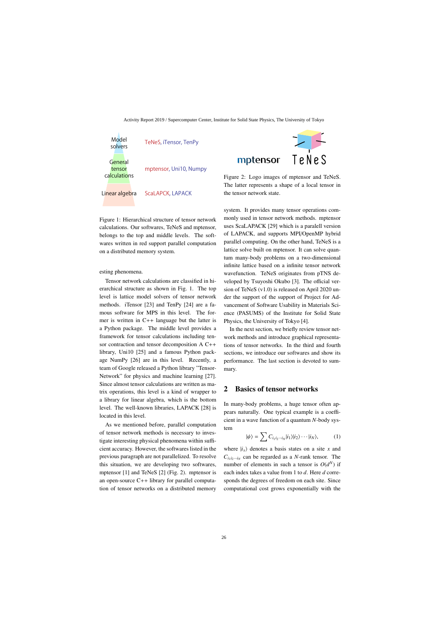

Figure 1: Hierarchical structure of tensor network calculations. Our softwares, TeNeS and mptensor, belongs to the top and middle levels. The softwares written in red support parallel computation on a distributed memory system.

esting phenomena.

Tensor network calculations are classified in hierarchical structure as shown in Fig. 1. The top level is lattice model solvers of tensor network methods. iTensor [23] and TenPy [24] are a famous software for MPS in this level. The former is written in C++ language but the latter is a Python package. The middle level provides a framework for tensor calculations including tensor contraction and tensor decomposition A C++ library, Uni10 [25] and a famous Python package NumPy [26] are in this level. Recently, a team of Google released a Python library "Tensor-Network" for physics and machine learning [27]. Since almost tensor calculations are written as matrix operations, this level is a kind of wrapper to a library for linear algebra, which is the bottom level. The well-known libraries, LAPACK [28] is located in this level.

As we mentioned before, parallel computation of tensor network methods is necessary to investigate interesting physical phenomena within sufficient accuracy. However, the softwares listed in the previous paragraph are not parallelized. To resolve this situation, we are developing two softwares, mptensor [1] and TeNeS [2] (Fig. 2). mptensor is an open-source C++ library for parallel computation of tensor networks on a distributed memory



Figure 2: Logo images of mptensor and TeNeS. The latter represents a shape of a local tensor in the tensor network state.

mptensor

system. It provides many tensor operations commonly used in tensor network methods. mptensor uses ScaLAPACK [29] which is a paralell version of LAPACK, and supports MPI/OpenMP hybrid parallel computing. On the other hand, TeNeS is a lattice solve built on mptensor. It can solve quantum many-body problems on a two-dimensional infinite lattice based on a infinite tensor network wavefunction. TeNeS originates from pTNS developed by Tsuyoshi Okubo [3]. The official version of TeNeS (v1.0) is released on April 2020 under the support of the support of Project for Advancement of Software Usability in Materials Science (PASUMS) of the Institute for Solid State Physics, the University of Tokyo [4].

In the next section, we briefly review tensor network methods and introduce graphical representations of tensor networks. In the third and fourth sections, we introduce our softwares and show its performance. The last section is devoted to summary.

### 2 Basics of tensor networks

In many-body problems, a huge tensor often appears naturally. One typical example is a coefficient in a wave function of a quantum *N*-body system

$$
|\psi\rangle = \sum C_{i_1 i_2 \cdots i_N} |i_1\rangle |i_2\rangle \cdots |i_N\rangle, \qquad (1)
$$

where  $|i_x\rangle$  denotes a basis states on a site *x* and  $C_{i_1 i_2 \cdots i_N}$  can be regarded as a *N*-rank tensor. The number of elements in such a tensor is  $O(d^N)$  if each index takes a value from 1 to *d*. Here *d* corresponds the degrees of freedom on each site. Since computational cost grows exponentially with the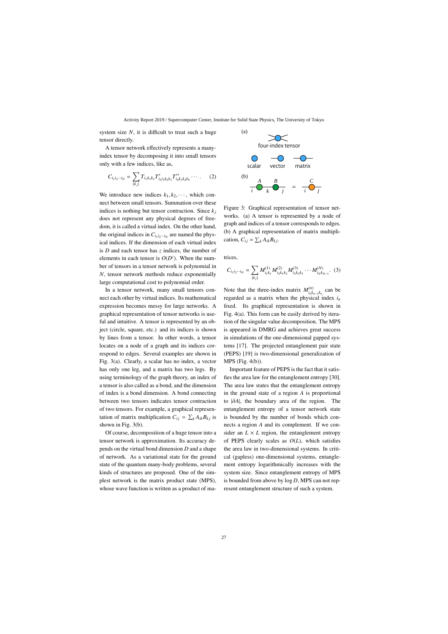system size  $N$ , it is difficult to treat such a huge tensor directly.

A tensor network effectively represents a manyindex tensor by decomposing it into small tensors only with a few indices, like as,

$$
C_{i_1i_2\cdots i_N} = \sum_{\{k_j\}} T_{i_1k_1k_2} T'_{i_2i_3k_2k_3} T''_{i_4k_3k_4k_5} \cdots \,. \tag{2}
$$

We introduce new indices  $k_1, k_2, \dots$ , which connect between small tensors. Summation over these indices is nothing but tensor contraction. Since  $k_j$ does not represent any physical degrees of freedom, it is called a virtual index. On the other hand, the original indices in  $C_{i_1 i_2 \cdots i_N}$  are named the physical indices. If the dimension of each virtual index is *D* and each tensor has *z* indices, the number of elements in each tensor is  $O(D^z)$ . When the number of tensors in a tensor network is polynomial in *N*, tensor network methods reduce exponentially large computational cost to polynomial order.

In a tensor network, many small tensors connect each other by virtual indices. Its mathematical expression becomes messy for large networks. A graphical representation of tensor networks is useful and intuitive. A tensor is represented by an object (circle, square, etc.) and its indices is shown by lines from a tensor. In other words, a tensor locates on a node of a graph and its indices correspond to edges. Several examples are shown in Fig. 3(a). Clearly, a scalar has no index, a vector has only one leg, and a matrix has two legs. By using terminology of the graph theory, an index of a tensor is also called as a bond, and the dimension of index is a bond dimension. A bond connecting between two tensors indicates tensor contraction of two tensors. For example, a graphical representation of matrix multiplication  $C_{ij} = \sum_k A_{ik} B_{kj}$  is shown in Fig. 3(b).

Of course, decomposition of a huge tensor into a tensor network is approximation. Its accuracy depends on the virtual bond dimension *D* and a shape of network. As a variational state for the ground state of the quantum many-body problems, several kinds of structures are proposed. One of the simplest network is the matrix product state (MPS), whose wave function is written as a product of ma-



Figure 3: Graphical representation of tensor networks. (a) A tensor is represented by a node of graph and indices of a tensor corresponds to edges. (b) A graphical representation of matrix multiplication,  $C_{ij} = \sum_k A_{ik} B_{kj}$ .

trices,

$$
C_{i_1i_2\cdots i_N} = \sum_{\{k_j\}} M_{i_1k_1}^{(1)} M_{i_2k_1k_2}^{(2)} M_{i_3k_2k_3}^{(3)} \cdots M_{i_Nk_{N-1}}^{(N)}.
$$
 (3)

Note that the three-index matrix  $M_i^{(n)}$ *i*<sub>*n*</sub> $k_{n-1}$ </sub> $k_n$  can be regarded as a matrix when the physical index  $i_n$ fixed. Its graphical representation is shown in Fig. 4(a). This form can be easily derived by iteration of the singular value decomposition. The MPS is appeared in DMRG and achieves great success in simulations of the one-dimensional gapped systems [17]. The projected entanglement pair state (PEPS) [19] is two-dimensional generalization of MPS (Fig. 4(b)).

Important feature of PEPS is the fact that it satisfies the area law for the entanglement entropy [30]. The area law states that the entanglement entropy in the ground state of a region *A* is proportional to <sup>|</sup>∂*A*|, the boundary area of the region. The entanglement entropy of a tensor network state is bounded by the number of bonds which connects a region *A* and its complement. If we consider an  $L \times L$  region, the entanglement entropy of PEPS clearly scales as *O*(*L*), which satisfies the area law in two-dimensional systems. In critical (gapless) one-dimensional systems, entanglement entropy logarithmically increases with the system size. Since entanglement entropy of MPS is bounded from above by log *D*, MPS can not represent entanglement structure of such a system.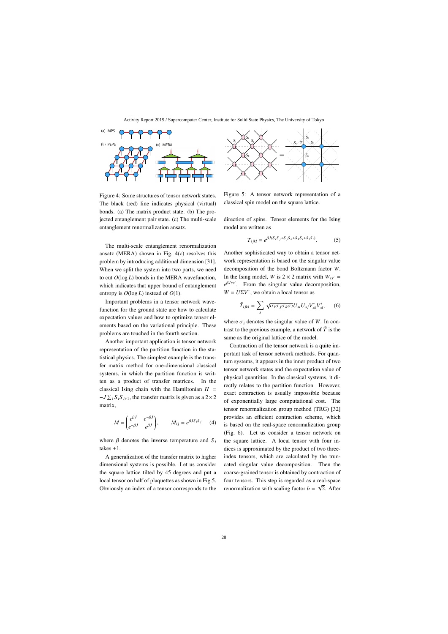

Figure 4: Some structures of tensor network states. The black (red) line indicates physical (virtual) bonds. (a) The matrix product state. (b) The projected entanglement pair state. (c) The multi-scale entanglement renormalization ansatz.

The multi-scale entanglement renormalization ansatz (MERA) shown in Fig. 4(c) resolves this problem by introducing additional dimension [31]. When we split the system into two parts, we need to cut *O*(log *L*) bonds in the MERA wavefunction, which indicates that upper bound of entanglement entropy is  $O(\log L)$  instead of  $O(1)$ .

Important problems in a tensor network wavefunction for the ground state are how to calculate expectation values and how to optimize tensor elements based on the variational principle. These problems are touched in the fourth section.

Another important application is tensor network representation of the partition function in the statistical physics. The simplest example is the transfer matrix method for one-dimensional classical systems, in which the partition function is written as a product of transfer matrices. In the classical Ising chain with the Hamiltonian  $H =$  $-J \sum_i S_i S_{i+1}$ , the transfer matrix is given as a 2×2 matrix,

$$
M = \begin{pmatrix} e^{\beta J} & e^{-\beta J} \\ e^{-\beta J} & e^{\beta J} \end{pmatrix}, \qquad M_{ij} = e^{\beta J S_i S_j} \qquad (4)
$$

where  $\beta$  denotes the inverse temperature and  $S_i$ takes  $\pm 1$ .

A generalization of the transfer matrix to higher dimensional systems is possible. Let us consider the square lattice tilted by 45 degrees and put a local tensor on half of plaquettes as shown in Fig.5. Obviously an index of a tensor corresponds to the



Figure 5: A tensor network representation of a classical spin model on the square lattice.

direction of spins. Tensor elements for the Ising model are written as

$$
T_{ijkl} = e^{\beta J (S_i S_j + S_j S_k + S_k S_l + S_l S_i)}.
$$
 (5)

Another sophisticated way to obtain a tensor network representation is based on the singular value decomposition of the bond Boltzmann factor *W*. In the Ising model, *W* is  $2 \times 2$  matrix with  $W_{ss'}$  = *e*β*Jss* . From the singular value decomposition,  $W = U\Sigma V^{\dagger}$ , we obtain a local tensor as

$$
\tilde{T}_{ijkl} = \sum_{s} \sqrt{\sigma_i \sigma_j \sigma_k \sigma_l} U_{si} U_{sj} V_{sk}^* V_{sl}^*, \qquad (6)
$$

where  $\sigma_i$  denotes the singular value of *W*. In contrast to the previous example, a network of  $\tilde{T}$  is the same as the original lattice of the model.

Contraction of the tensor network is a quite important task of tensor network methods. For quantum systems, it appears in the inner product of two tensor network states and the expectation value of physical quantities. In the classical systems, it directly relates to the partition function. However, exact contraction is usually impossible because of exponentially large computational cost. The tensor renormalization group method (TRG) [32] provides an efficient contraction scheme, which is based on the real-space renormalization group (Fig. 6). Let us consider a tensor network on the square lattice. A local tensor with four indices is approximated by the product of two threeindex tensors, which are calculated by the truncated singular value decomposition. Then the coarse-grained tensor is obtained by contraction of four tensors. This step is regarded as a real-space renormalization with scaling factor  $b = \sqrt{2}$ . After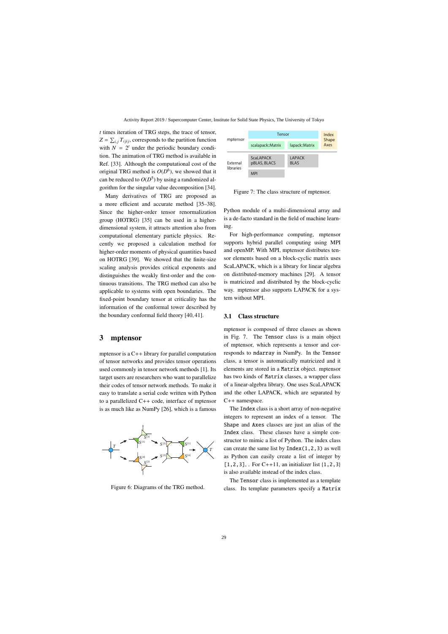*t* times iteration of TRG steps, the trace of tensor,  $Z = \sum_{i,j} T_{ijij}$ , corresponds to the partition function with  $N = 2<sup>t</sup>$  under the periodic boundary condition. The animation of TRG method is available in Ref. [33]. Although the computational cost of the original TRG method is  $O(D^6)$ , we showed that it can be reduced to  $O(D^5)$  by using a randomized algorithm for the singular value decomposition [34].

Many derivatives of TRG are proposed as a more efficient and accurate method [35–38]. Since the higher-order tensor renormalization group (HOTRG) [35] can be used in a higherdimensional system, it attracts attention also from computational elementary particle physics. Recently we proposed a calculation method for higher-order moments of physical quantities based on HOTRG [39]. We showed that the finite-size scaling analysis provides critical exponents and distinguishes the weakly first-order and the continuous transitions. The TRG method can also be applicable to systems with open boundaries. The fixed-point boundary tensor at criticality has the information of the conformal tower described by the boundary conformal field theory [40, 41].

### 3 mptensor

mptensor is a C++ library for parallel computation of tensor networks and provides tensor operations used commonly in tensor network methods [1]. Its target users are researchers who want to parallelize their codes of tensor network methods. To make it easy to translate a serial code written with Python to a parallelized C++ code, interface of mptensor is as much like as NumPy [26], which is a famous



Figure 6: Diagrams of the TRG method.



Figure 7: The class structure of mptensor.

Python module of a multi-dimensional array and is a de-facto standard in the field of machine learning.

For high-performance computing, mptensor supports hybrid parallel computing using MPI and openMP. With MPI, mptensor distributes tensor elements based on a block-cyclic matrix uses ScaLAPACK, which is a library for linear algebra on distributed-memory machines [29]. A tensor is matricized and distributed by the block-cyclic way. mptensor also supports LAPACK for a system without MPI.

#### 3.1 Class structure

mptensor is composed of three classes as shown in Fig. 7. The Tensor class is a main object of mptensor, which represents a tensor and corresponds to ndarray in NumPy. In the Tensor class, a tensor is automatically matricized and it elements are stored in a Matrix object. mptensor has two kinds of Matrix classes, a wrapper class of a linear-algebra library. One uses ScaLAPACK and the other LAPACK, which are separated by C++ namespace.

The Index class is a short array of non-negative integers to represent an index of a tensor. The Shape and Axes classes are just an alias of the Index class. These classes have a simple constructor to mimic a list of Python. The index class can create the same list by  $Index(1,2,3)$  as well as Python can easily create a list of integer by  $[1, 2, 3]$ , . For C++11, an initializer list  $\{1, 2, 3\}$ is also available instead of the index class.

The Tensor class is implemented as a template class. Its template parameters specify a Matrix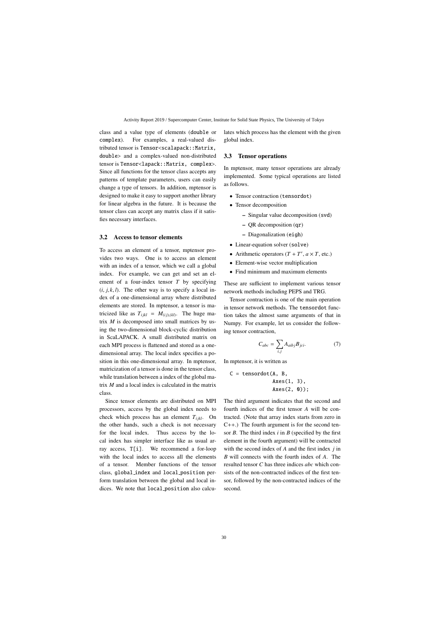class and a value type of elements (double or complex). For examples, a real-valued distributed tensor is Tensor<scalapack::Matrix, double> and a complex-valued non-distributed tensor is Tensor<lapack::Matrix, complex>. Since all functions for the tensor class accepts any patterns of template parameters, users can easily change a type of tensors. In addition, mptensor is designed to make it easy to support another library for linear algebra in the future. It is because the tensor class can accept any matrix class if it satisfies necessary interfaces.

#### 3.2 Access to tensor elements

To access an element of a tensor, mptensor provides two ways. One is to access an element with an index of a tensor, which we call a global index. For example, we can get and set an element of a four-index tensor *T* by specifying  $(i, j, k, l)$ . The other way is to specify a local index of a one-dimensional array where distributed elements are stored. In mptensor, a tensor is matricized like as  $T_{ijkl} = M_{(ij),(kl)}$ . The huge matrix *M* is decomposed into small matrices by using the two-dimensional block-cyclic distribution in ScaLAPACK. A small distributed matrix on each MPI process is flattened and stored as a onedimensional array. The local index specifies a position in this one-dimensional array. In mptensor, matricization of a tensor is done in the tensor class, while translation between a index of the global matrix *M* and a local index is calculated in the matrix class.

Since tensor elements are distributed on MPI processors, access by the global index needs to check which process has an element  $T_{i i k l}$ . On the other hands, such a check is not necessary for the local index. Thus access by the local index has simpler interface like as usual array access, T[i]. We recommend a for-loop with the local index to access all the elements of a tensor. Member functions of the tensor class, global index and local position perform translation between the global and local indices. We note that local position also calculates which process has the element with the given global index.

#### 3.3 Tensor operations

In mptensor, many tensor operations are already implemented. Some typical operations are listed as follows.

- Tensor contraction (tensordot)
- Tensor decomposition
	- Singular value decomposition (svd)
	- QR decomposition (qr)
	- Diagonalization (eigh)
- Linear-equation solver (solve)
- Arithmetic operators  $(T + T', a \times T, \text{ etc.})$
- Element-wise vector multiplication
- Find minimum and maximum elements

These are sufficient to implement various tensor network methods including PEPS and TRG.

Tensor contraction is one of the main operation in tensor network methods. The tensordot function takes the almost same arguments of that in Numpy. For example, let us consider the following tensor contraction,

$$
C_{abc} = \sum_{i,j} A_{aibj} B_{jci}.
$$
 (7)

In mptensor, it is written as

$$
C = tensordot(A, B, \\ \text{Axes}(1, 3), \\ \text{Axes}(2, 0));
$$

The third argument indicates that the second and fourth indices of the first tensor *A* will be contracted. (Note that array index starts from zero in C++.) The fourth argument is for the second tensor *B*. The third index *i* in *B* (specified by the first element in the fourth argument) will be contracted with the second index of *A* and the first index *j* in *B* will connects with the fourth index of *A*. The resulted tensor *C* has three indices *abc* which consists of the non-contracted indices of the first tensor, followed by the non-contracted indices of the second.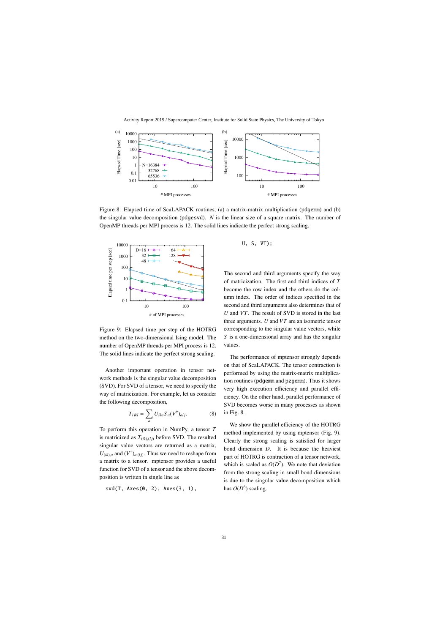

Figure 8: Elapsed time of ScaLAPACK routines, (a) a matrix-matrix multiplication (pdgemm) and (b) the singular value decomposition (pdgesvd). *N* is the linear size of a square matrix. The number of OpenMP threads per MPI process is 12. The solid lines indicate the perfect strong scaling.



Figure 9: Elapsed time per step of the HOTRG method on the two-dimensional Ising model. The number of OpenMP threads per MPI process is 12. The solid lines indicate the perfect strong scaling.

Another important operation in tensor network methods is the singular value decomposition (SVD). For SVD of a tensor, we need to specify the way of matricization. For example, let us consider the following decomposition,

$$
T_{ijkl} = \sum_{a} U_{ika} S_a (V^{\dagger})_{alj}.
$$
 (8)

To perform this operation in NumPy, a tensor *T* is matricized as  $T_{(ik),(l,j)}$  before SVD. The resulted singular value vectors are returned as a matrix,  $U_{(ik),a}$  and  $(V^{\dagger})_{a,(lj)}$ . Thus we need to reshape from a matrix to a tensor. mptensor provides a useful function for SVD of a tensor and the above decomposition is written in single line as

svd(T, Axes(0, 2), Axes(3, 1),

U, S, VT);

The second and third arguments specify the way of matricization. The first and third indices of *T* become the row index and the others do the column index. The order of indices specified in the second and third arguments also determines that of *U* and *VT*. The result of SVD is stored in the last three arguments. *U* and *VT* are an isometric tensor corresponding to the singular value vectors, while *S* is a one-dimensional array and has the singular values.

The performance of mptensor strongly depends on that of ScaLAPACK. The tensor contraction is performed by using the matrix-matrix multiplication routines (pdgemm and pzgemm). Thus it shows very high execution efficiency and parallel efficiency. On the other hand, parallel performance of SVD becomes worse in many processes as shown in Fig. 8.

We show the parallel efficiency of the HOTRG method implemented by using mptensor (Fig. 9). Clearly the strong scaling is satisfied for larger bond dimension *D*. It is because the heaviest part of HOTRG is contraction of a tensor network, which is scaled as  $O(D^7)$ . We note that deviation from the strong scaling in small bond dimensions is due to the singular value decomposition which has  $O(D^6)$  scaling.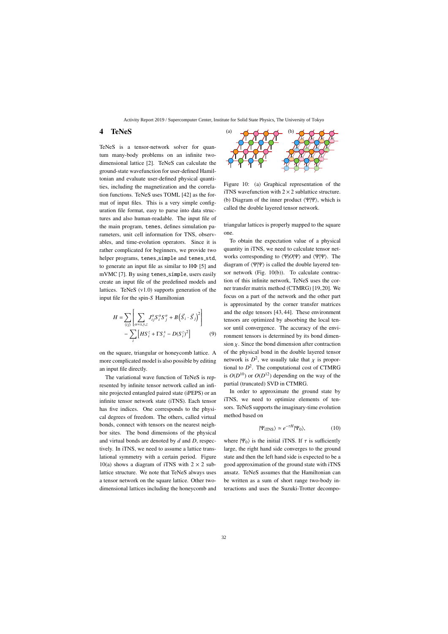### 4 TeNeS

TeNeS is a tensor-network solver for quantum many-body problems on an infinite twodimensional lattice [2]. TeNeS can calculate the ground-state wavefunction for user-defined Hamiltonian and evaluate user-defined physical quantities, including the magnetization and the correlation functions. TeNeS uses TOML [42] as the format of input files. This is a very simple configuration file format, easy to parse into data structures and also human-readable. The input file of the main program, tenes, defines simulation parameters, unit cell information for TNS, observables, and time-evolution operators. Since it is rather complicated for beginners, we provide two helper programs, tenes\_simple and tenes\_std, to generate an input file as similar to HΦ [5] and mVMC [7]. By using tenes\_simple, users easily create an input file of the predefined models and lattices. TeNeS (v1.0) supports generation of the input file for the spin-*S* Hamiltonian

$$
H = \sum_{\langle ij \rangle} \left[ \sum_{\alpha = x, y, z} J_{ij}^{\alpha} S_i^{\alpha} S_j^{\alpha} + B \left( \vec{S}_i \cdot \vec{S}_j \right)^2 \right] - \sum_i \left[ H S_i^z + \Gamma S_i^x - D (S_i^z)^2 \right]
$$
(9)

on the square, triangular or honeycomb lattice. A more complicated model is also possible by editing an input file directly.

The variational wave function of TeNeS is represented by infinite tensor network called an infinite projected entangled paired state (iPEPS) or an infinite tensor network state (iTNS). Each tensor has five indices. One corresponds to the physical degrees of freedom. The others, called virtual bonds, connect with tensors on the nearest neighbor sites. The bond dimensions of the physical and virtual bonds are denoted by *d* and *D*, respectively. In iTNS, we need to assume a lattice translational symmetry with a certain period. Figure 10(a) shows a diagram of iTNS with  $2 \times 2$  sublattice structure. We note that TeNeS always uses a tensor network on the square lattice. Other twodimensional lattices including the honeycomb and



Figure 10: (a) Graphical representation of the iTNS wavefunction with  $2 \times 2$  sublattice structure. (b) Diagram of the inner product  $\langle \Psi | \Psi \rangle$ , which is called the double layered tensor network.

triangular lattices is properly mapped to the square one.

To obtain the expectation value of a physical quantity in iTNS, we need to calculate tensor networks corresponding to  $\langle \Psi | O | \Psi \rangle$  and  $\langle \Psi | \Psi \rangle$ . The diagram of  $\langle \Psi | \Psi \rangle$  is called the double layered tensor network (Fig. 10(b)). To calculate contraction of this infinite network, TeNeS uses the corner transfer matrix method (CTMRG) [19,20]. We focus on a part of the network and the other part is approximated by the corner transfer matrices and the edge tensors [43, 44]. These environment tensors are optimized by absorbing the local tensor until convergence. The accuracy of the environment tensors is determined by its bond dimension  $\chi$ . Since the bond dimension after contraction of the physical bond in the double layered tensor network is  $D^2$ , we usually take that  $\chi$  is proportional to  $D^2$ . The computational cost of CTMRG is  $O(D^{10})$  or  $O(D^{12})$  depending on the way of the partial (truncated) SVD in CTMRG.

In order to approximate the ground state by iTNS, we need to optimize elements of tensors. TeNeS supports the imaginary-time evolution method based on

$$
|\Psi_{\text{ITNS}}\rangle \simeq e^{-\tau H}|\Psi_0\rangle,\tag{10}
$$

where  $|\Psi_0\rangle$  is the initial iTNS. If  $\tau$  is sufficiently large, the right hand side converges to the ground state and then the left hand side is expected to be a good approximation of the ground state with iTNS ansatz. TeNeS assumes that the Hamiltonian can be written as a sum of short range two-body interactions and uses the Suzuki-Trotter decompo-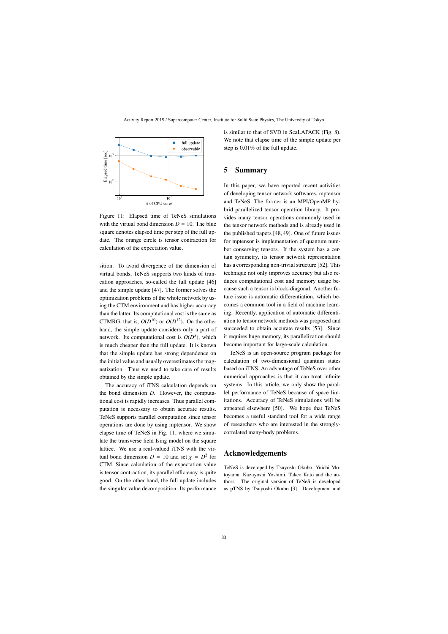

Figure 11: Elapsed time of TeNeS simulations with the virtual bond dimension  $D = 10$ . The blue square denotes elapsed time per step of the full update. The orange circle is tensor contraction for calculation of the expectation value.

sition. To avoid divergence of the dimension of virtual bonds, TeNeS supports two kinds of truncation approaches, so-called the full update [46] and the simple update [47]. The former solves the optimization problems of the whole network by using the CTM environment and has higher accuracy than the latter. Its computational cost is the same as CTMRG, that is,  $O(D^{10})$  or  $O(D^{12})$ . On the other hand, the simple update considers only a part of network. Its computational cost is  $O(D^5)$ , which is much cheaper than the full update. It is known that the simple update has strong dependence on the initial value and usually overestimates the magnetization. Thus we need to take care of results obtained by the simple update.

The accuracy of iTNS calculation depends on the bond dimension *D*. However, the computational cost is rapidly increases. Thus parallel computation is necessary to obtain accurate results. TeNeS supports parallel computation since tensor operations are done by using mptensor. We show elapse time of TeNeS in Fig. 11, where we simulate the transverse field Ising model on the square lattice. We use a real-valued iTNS with the virtual bond dimension  $D = 10$  and set  $\chi = D^2$  for CTM. Since calculation of the expectation value is tensor contraction, its parallel efficiency is quite good. On the other hand, the full update includes the singular value decomposition. Its performance is similar to that of SVD in ScaLAPACK (Fig. 8). We note that elapse time of the simple update per step is 0.01% of the full update.

### 5 Summary

In this paper, we have reported recent activities of developing tensor network softwares, mptensor and TeNeS. The former is an MPI/OpenMP hybrid parallelized tensor operation library. It provides many tensor operations commonly used in the tensor network methods and is already used in the published papers [48, 49]. One of future issues for mptensor is implementation of quantum number conserving tensors. If the system has a certain symmetry, its tensor network representation has a corresponding non-trivial structure [52]. This technique not only improves accuracy but also reduces computational cost and memory usage because such a tensor is block-diagonal. Another future issue is automatic differentiation, which becomes a common tool in a field of machine learning. Recently, application of automatic differentiation to tensor network methods was proposed and succeeded to obtain accurate results [53]. Since it requires huge memory, its parallelization should become important for large-scale calculation.

TeNeS is an open-source program package for calculation of two-dimensional quantum states based on iTNS. An advantage of TeNeS over other numerical approaches is that it can treat infinite systems. In this article, we only show the parallel performance of TeNeS because of space limitations. Accuracy of TeNeS simulations will be appeared elsewhere [50]. We hope that TeNeS becomes a useful standard tool for a wide range of researchers who are interested in the stronglycorrelated many-body problems.

## Acknowledgements

TeNeS is developed by Tsuyoshi Okubo, Yuichi Motoyama, Kazuyoshi Yoshimi, Takeo Kato and the authors. The original version of TeNeS is developed as pTNS by Tsuyoshi Okubo [3]. Development and